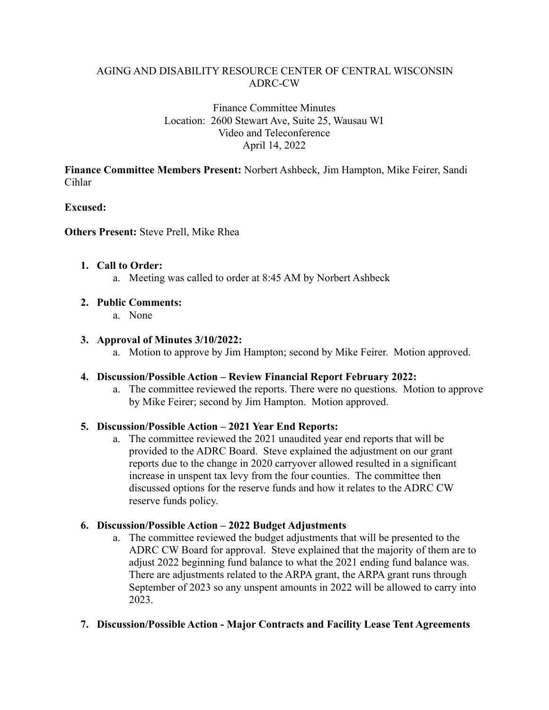### AGING AND DISABILITY RESOURCE CENTER OF CENTRAL WISCONSIN ADRC-CW

### Finance Committee Minutes Location: 2600 Stewart Ave, Suite 25, Wausau WI Video and Teleconference April 14, 2022

**Finance Committee Members Present:** Norbert Ashbeck, Jim Hampton, Mike Feirer, Sandi Cihlar

# **Excused:**

**Others Present:** Steve Prell, Mike Rhea

### **1. Call to Order:**

a. Meeting was called to order at 8:45 AM by Norbert Ashbeck

# **2. Public Comments:**

a. None

### **3. Approval of Minutes 3/10/2022:**

a. Motion to approve by Jim Hampton; second by Mike Feirer. Motion approved.

#### **4. Discussion/Possible Action – Review Financial Report February 2022:**

a. The committee reviewed the reports. There were no questions. Motion to approve by Mike Feirer; second by Jim Hampton. Motion approved.

# **5. Discussion/Possible Action – 2021 Year End Reports:**

a. The committee reviewed the 2021 unaudited year end reports that will be provided to the ADRC Board. Steve explained the adjustment on our grant reports due to the change in 2020 carryover allowed resulted in a significant increase in unspent tax levy from the four counties. The committee then discussed options for the reserve funds and how it relates to the ADRC CW reserve funds policy.

# **6. Discussion/Possible Action – 2022 Budget Adjustments**

a. The committee reviewed the budget adjustments that will be presented to the ADRC CW Board for approval. Steve explained that the majority of them are to adjust 2022 beginning fund balance to what the 2021 ending fund balance was. There are adjustments related to the ARPA grant, the ARPA grant runs through September of 2023 so any unspent amounts in 2022 will be allowed to carry into 2023.

#### **7. Discussion/Possible Action - Major Contracts and Facility Lease Tent Agreements**